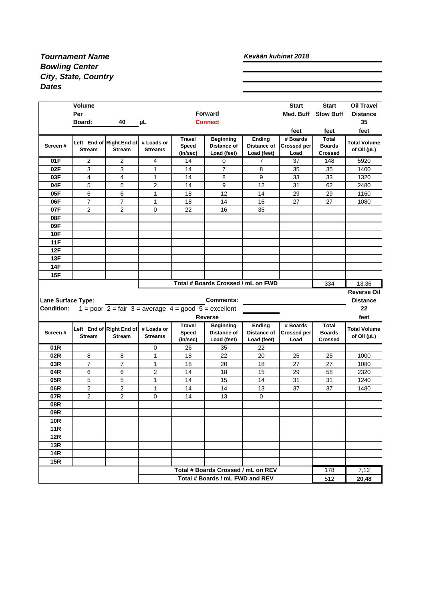## *Tournament Name Bowling Center City, State, Country Dates*

## *Kevään kuhinat 2018*

|                           | <b>Volume</b>              |                                                                                       |                |               | <b>Forward</b>                                                        |                       | <b>Start</b><br>Med. Buff | <b>Start</b><br><b>Slow Buff</b> | <b>Oil Travel</b>                 |
|---------------------------|----------------------------|---------------------------------------------------------------------------------------|----------------|---------------|-----------------------------------------------------------------------|-----------------------|---------------------------|----------------------------------|-----------------------------------|
|                           | Per<br>40<br><b>Board:</b> |                                                                                       |                |               | <b>Connect</b>                                                        |                       |                           |                                  | <b>Distance</b><br>35             |
|                           |                            |                                                                                       | μL             |               |                                                                       |                       |                           |                                  |                                   |
|                           |                            |                                                                                       |                | <b>Travel</b> |                                                                       |                       | feet<br># Boards          | feet<br><b>Total</b>             | feet                              |
| Screen#                   |                            | Left End of Right End of                                                              | # Loads or     | Speed         | <b>Beginning</b><br>Distance of                                       | Ending<br>Distance of | Crossed per               | <b>Boards</b>                    | <b>Total Volume</b>               |
|                           | <b>Stream</b>              | <b>Stream</b>                                                                         | <b>Streams</b> | (in/sec)      | Load (feet)                                                           | Load (feet)           | Load                      | <b>Crossed</b>                   | of Oil (µL)                       |
| 01F                       | $\overline{2}$             | $\overline{2}$                                                                        | 4              | 14            | 0                                                                     | $\overline{7}$        | 37                        | 148                              | 5920                              |
| 02F                       | 3                          | 3                                                                                     | 1              | 14            | $\overline{7}$                                                        | 8                     | 35                        | 35                               | 1400                              |
| 03F                       | 4                          | 4                                                                                     | 1              | 14            | 8                                                                     | 9                     | 33                        | 33                               | 1320                              |
| 04F                       | 5                          | 5                                                                                     | 2              | 14            | 9                                                                     | 12                    | 31                        | 62                               | 2480                              |
| 05F                       | 6                          | 6                                                                                     | 1              | 18            | 12                                                                    | 14                    | 29                        | 29                               | 1160                              |
| 06F                       | $\overline{7}$             | $\overline{7}$                                                                        | 1              | 18            | 14                                                                    | 16                    | 27                        | 27                               | 1080                              |
| 07F                       | $\overline{2}$             | 2                                                                                     | 0              | 22            | 16                                                                    | 35                    |                           |                                  |                                   |
| 08F                       |                            |                                                                                       |                |               |                                                                       |                       |                           |                                  |                                   |
| 09F                       |                            |                                                                                       |                |               |                                                                       |                       |                           |                                  |                                   |
| <b>10F</b>                |                            |                                                                                       |                |               |                                                                       |                       |                           |                                  |                                   |
| <b>11F</b>                |                            |                                                                                       |                |               |                                                                       |                       |                           |                                  |                                   |
| 12F                       |                            |                                                                                       |                |               |                                                                       |                       |                           |                                  |                                   |
| 13F                       |                            |                                                                                       |                |               |                                                                       |                       |                           |                                  |                                   |
| 14F                       |                            |                                                                                       |                |               |                                                                       |                       |                           |                                  |                                   |
| 15F                       |                            |                                                                                       |                |               |                                                                       |                       |                           |                                  |                                   |
|                           |                            |                                                                                       |                |               |                                                                       |                       |                           |                                  |                                   |
|                           |                            |                                                                                       |                |               | Total # Boards Crossed / mL on FWD                                    |                       |                           | 334                              | 13,36                             |
|                           |                            |                                                                                       |                |               |                                                                       |                       |                           |                                  |                                   |
| <b>Lane Surface Type:</b> |                            |                                                                                       |                |               | <b>Comments:</b>                                                      |                       |                           |                                  | <b>Distance</b>                   |
| <b>Condition:</b>         |                            | 1 = poor $2 = \text{fair } 3 = \text{average } 4 = \text{good } 5 = \text{excellent}$ |                |               |                                                                       |                       |                           |                                  | 22                                |
|                           |                            |                                                                                       |                |               | <b>Reverse</b>                                                        |                       |                           |                                  | feet                              |
|                           |                            |                                                                                       |                | <b>Travel</b> | <b>Beginning</b>                                                      | Ending                | # Boards                  | Total                            |                                   |
| Screen#                   |                            | Left End of Right End of                                                              | # Loads or     | Speed         | Distance of                                                           | Distance of           | <b>Crossed per</b>        | <b>Boards</b>                    | <b>Total Volume</b>               |
|                           | <b>Stream</b>              | Stream                                                                                | <b>Streams</b> | (in/sec)      | Load (feet)                                                           | Load (feet)           | Load                      | <b>Crossed</b>                   | <b>Reverse Oil</b><br>of Oil (µL) |
| 01 <sub>R</sub>           |                            |                                                                                       | 0              | 26            | 35                                                                    | 22                    |                           |                                  |                                   |
| 02R                       | 8                          | 8                                                                                     | 1              | 18            | 22                                                                    | 20                    | 25                        | 25                               | 1000                              |
| 03R                       | $\overline{7}$             | $\overline{7}$                                                                        | 1              | 18            | 20                                                                    | 18                    | 27                        | 27                               | 1080                              |
| 04R                       | 6                          | 6                                                                                     | $\overline{2}$ | 14            | 18                                                                    | 15                    | 29                        | 58                               | 2320                              |
| 05R                       | 5                          | 5                                                                                     | $\mathbf{1}$   | 14            | 15                                                                    | 14                    | 31                        | 31                               | 1240                              |
| 06R                       | $\overline{c}$             | 2                                                                                     | 1              | 14            | 14                                                                    | 13                    | 37                        | 37                               | 1480                              |
| 07R                       | $\overline{2}$             | $\overline{2}$                                                                        | 0              | 14            | 13                                                                    | 0                     |                           |                                  |                                   |
| 08R                       |                            |                                                                                       |                |               |                                                                       |                       |                           |                                  |                                   |
| 09R                       |                            |                                                                                       |                |               |                                                                       |                       |                           |                                  |                                   |
| <b>10R</b>                |                            |                                                                                       |                |               |                                                                       |                       |                           |                                  |                                   |
| 11R                       |                            |                                                                                       |                |               |                                                                       |                       |                           |                                  |                                   |
| <b>12R</b>                |                            |                                                                                       |                |               |                                                                       |                       |                           |                                  |                                   |
| 13R                       |                            |                                                                                       |                |               |                                                                       |                       |                           |                                  |                                   |
| <b>14R</b>                |                            |                                                                                       |                |               |                                                                       |                       |                           |                                  |                                   |
| <b>15R</b>                |                            |                                                                                       |                |               |                                                                       |                       |                           |                                  |                                   |
|                           |                            |                                                                                       |                |               | Total # Boards Crossed / mL on REV<br>Total # Boards / mL FWD and REV |                       |                           | 178<br>512                       | 7,12<br>20,48                     |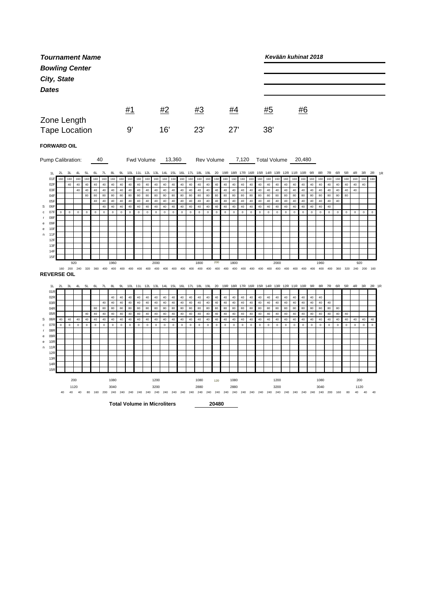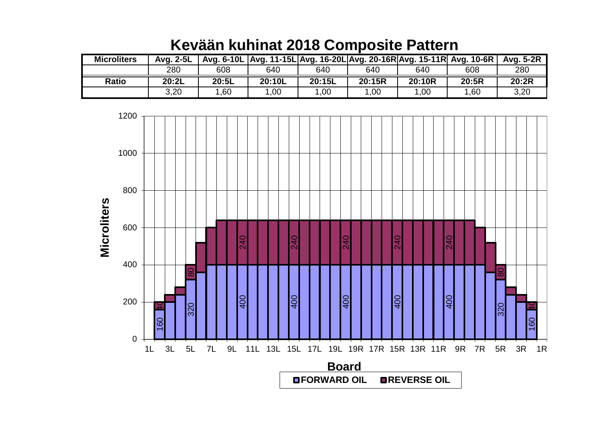| <b>Microliters</b> | Avg. 2-5L |       | Avg. 6-10L Avg. 11-15L Avg. 16-20L Avg. 20-16R Avg. 15-11R Avg. 10-6R |        |        |        |       | Avg. 5-2R |
|--------------------|-----------|-------|-----------------------------------------------------------------------|--------|--------|--------|-------|-----------|
|                    | 280       | 608   | 640                                                                   | 640    | 640    | 640    | 608   | 280       |
| <b>Ratio</b>       | 20:2L     | 20:5L | 20:10L                                                                | 20:15L | 20:15R | 20:10R | 20:5R | 20:2R     |
|                    | 3,20      | .60   | .00.                                                                  | .00    | 00,    | 1,00   | 1,60  | 3,20      |

## **Kevään kuhinat 2018 Composite Pattern**